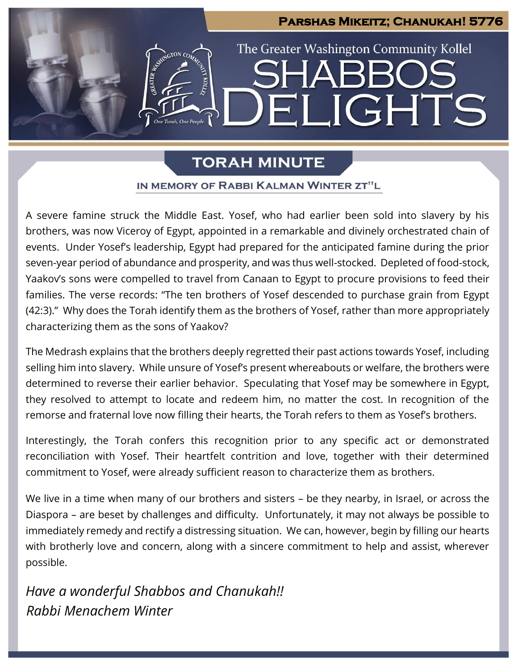

# **TORAH MINUTE**

### IN MEMORY OF RABBI KALMAN WINTER ZT"L

A severe famine struck the Middle East. Yosef, who had earlier been sold into slavery by his brothers, was now Viceroy of Egypt, appointed in a remarkable and divinely orchestrated chain of events. Under Yosef's leadership, Egypt had prepared for the anticipated famine during the prior seven-year period of abundance and prosperity, and was thus well-stocked. Depleted of food-stock, Yaakov's sons were compelled to travel from Canaan to Egypt to procure provisions to feed their families. The verse records: "The ten brothers of Yosef descended to purchase grain from Egypt (42:3)." Why does the Torah identify them as the brothers of Yosef, rather than more appropriately characterizing them as the sons of Yaakov?

The Medrash explains that the brothers deeply regretted their past actions towards Yosef, including selling him into slavery. While unsure of Yosef's present whereabouts or welfare, the brothers were determined to reverse their earlier behavior. Speculating that Yosef may be somewhere in Egypt, they resolved to attempt to locate and redeem him, no matter the cost. In recognition of the remorse and fraternal love now filling their hearts, the Torah refers to them as Yosef's brothers.

Interestingly, the Torah confers this recognition prior to any specific act or demonstrated reconciliation with Yosef. Their heartfelt contrition and love, together with their determined commitment to Yosef, were already sufficient reason to characterize them as brothers.

We live in a time when many of our brothers and sisters – be they nearby, in Israel, or across the Diaspora – are beset by challenges and difficulty. Unfortunately, it may not always be possible to immediately remedy and rectify a distressing situation. We can, however, begin by filling our hearts with brotherly love and concern, along with a sincere commitment to help and assist, wherever possible.

*Have a wonderful Shabbos and Chanukah!! Rabbi Menachem Winter*